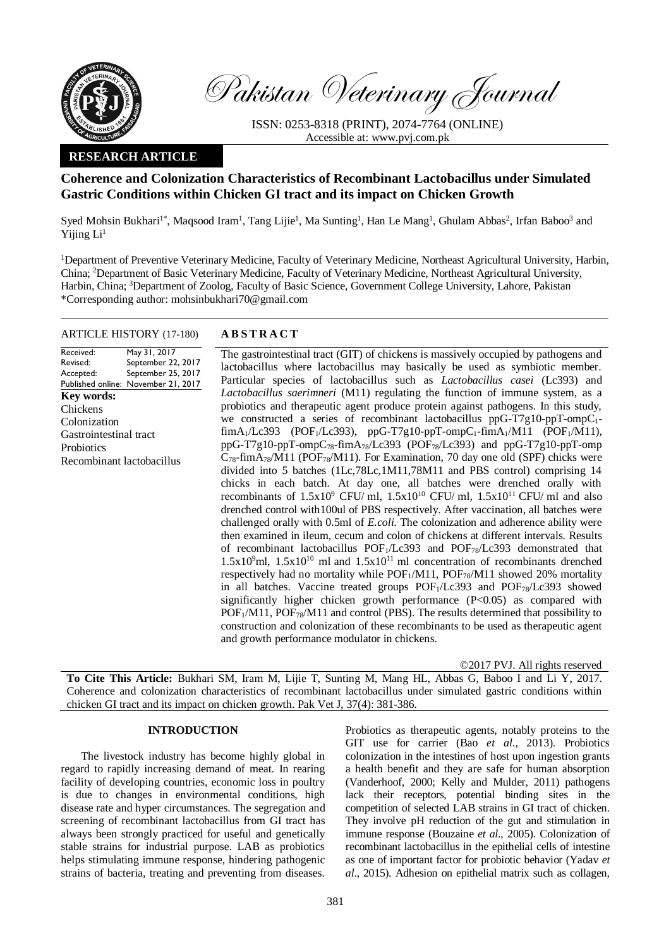

Pakistan Veterinary Journal

ISSN: 0253-8318 (PRINT), 2074-7764 (ONLINE) Accessible at: [www.pvj.com.pk](http://www.pvj.com.pk/)

# **RESEARCH ARTICLE**

# **Coherence and Colonization Characteristics of Recombinant Lactobacillus under Simulated Gastric Conditions within Chicken GI tract and its impact on Chicken Growth**

Syed Mohsin Bukhari<sup>1\*</sup>, Maqsood Iram<sup>1</sup>, Tang Lijie<sup>1</sup>, Ma Sunting<sup>1</sup>, Han Le Mang<sup>1</sup>, Ghulam Abbas<sup>2</sup>, Irfan Baboo<sup>3</sup> and Yijing Li<sup>1</sup>

<sup>1</sup>Department of Preventive Veterinary Medicine, Faculty of Veterinary Medicine, Northeast Agricultural University, Harbin, China; <sup>2</sup>Department of Basic Veterinary Medicine, Faculty of Veterinary Medicine, Northeast Agricultural University, Harbin, China; <sup>3</sup>Department of Zoolog, Faculty of Basic Science, Government College University, Lahore, Pakistan \*Corresponding author: mohsinbukhari70@gmail.com

# ARTICLE HISTORY (17-180) **A B S T R A C T**

May 31, 2017

Revised: Accepted: Published online: November 21, 2017 September 22, 2017 September 25, 2017 **Key words:**  Chickens Colonization Gastrointestinal tract **Probiotics** Recombinant lactobacillus

Received:

The gastrointestinal tract (GIT) of chickens is massively occupied by pathogens and lactobacillus where lactobacillus may basically be used as symbiotic member. Particular species of lactobacillus such as *Lactobacillus casei* (Lc393) and *Lactobacillus saerimneri* (M11) regulating the function of immune system, as a probiotics and therapeutic agent produce protein against pathogens. In this study, we constructed a series of recombinant lactobacillus ppG-T7g10-ppT-ompC<sub>1</sub>- $\lim_{\Delta_1/Lc393}$  (POF<sub>1</sub>/Lc393), ppG-T7g10-ppT-ompC<sub>1</sub>-fimA<sub>1</sub>/M11 (POF<sub>1</sub>/M11), ppG-T7g10-ppT-ompC78-fimA78/Lc393 (POF78/Lc393) and ppG-T7g10-ppT-omp  $C_{78}$ -fimA<sub>78</sub>/M11 (POF<sub>78</sub>/M11). For Examination, 70 day one old (SPF) chicks were divided into 5 batches (1Lc,78Lc,1M11,78M11 and PBS control) comprising 14 chicks in each batch. At day one, all batches were drenched orally with recombinants of  $1.5x10^9$  CFU/ ml,  $1.5x10^{10}$  CFU/ ml,  $1.5x10^{11}$  CFU/ ml and also drenched control with100ul of PBS respectively. After vaccination, all batches were challenged orally with 0.5ml of *E.coli.* The colonization and adherence ability were then examined in ileum, cecum and colon of chickens at different intervals. Results of recombinant lactobacillus POF1/Lc393 and POF78/Lc393 demonstrated that  $1.5x10<sup>9</sup>$ ml,  $1.5x10<sup>10</sup>$  ml and  $1.5x10<sup>11</sup>$  ml concentration of recombinants drenched respectively had no mortality while  $POF_1/M11$ ,  $POF_{78}/M11$  showed 20% mortality in all batches. Vaccine treated groups  $\text{POF}_1/\text{Lc393}$  and  $\text{POF}_78/\text{Lc393}$  showed significantly higher chicken growth performance (P<0.05) as compared with POF<sub>1</sub>/M11, POF<sub>78</sub>/M11 and control (PBS). The results determined that possibility to construction and colonization of these recombinants to be used as therapeutic agent and growth performance modulator in chickens.

©2017 PVJ. All rights reserved

**To Cite This Article:** Bukhari SM, Iram M, Lijie T, Sunting M, Mang HL, Abbas G, Baboo I and Li Y, 2017. Coherence and colonization characteristics of recombinant lactobacillus under simulated gastric conditions within chicken GI tract and its impact on chicken growth. Pak Vet J, 37(4): 381-386.

### **INTRODUCTION**

The livestock industry has become highly global in regard to rapidly increasing demand of meat. In rearing facility of developing countries, economic loss in poultry is due to changes in environmental conditions, high disease rate and hyper circumstances. The segregation and screening of recombinant lactobacillus from GI tract has always been strongly practiced for useful and genetically stable strains for industrial purpose. LAB as probiotics helps stimulating immune response, hindering pathogenic strains of bacteria, treating and preventing from diseases.

Probiotics as therapeutic agents, notably proteins to the GIT use for carrier (Bao *et al*., 2013). Probiotics colonization in the intestines of host upon ingestion grants a health benefit and they are safe for human absorption (Vanderhoof, 2000; Kelly and Mulder, 2011) pathogens lack their receptors, potential binding sites in the competition of selected LAB strains in GI tract of chicken. They involve pH reduction of the gut and stimulation in immune response (Bouzaine *et al*., 2005). Colonization of recombinant lactobacillus in the epithelial cells of intestine as one of important factor for probiotic behavior (Yadav *et al*., 2015). Adhesion on epithelial matrix such as collagen,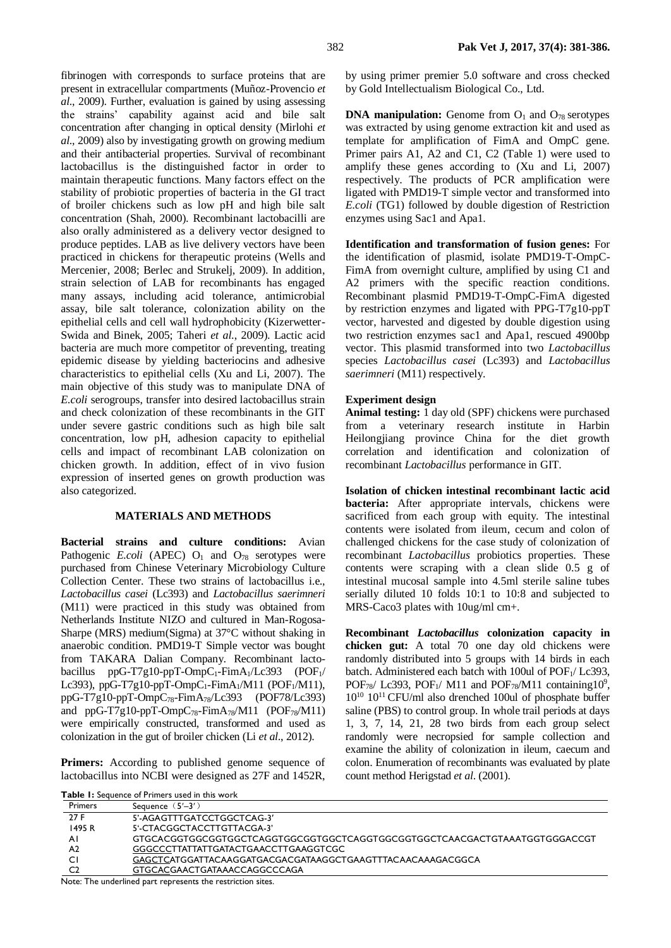fibrinogen with corresponds to surface proteins that are present in extracellular compartments (Muñoz-Provencio *et al*., 2009). Further, evaluation is gained by using assessing the strains' capability against acid and bile salt concentration after changing in optical density (Mirlohi *et al*., 2009) also by investigating growth on growing medium and their antibacterial properties. Survival of recombinant lactobacillus is the distinguished factor in order to maintain therapeutic functions. Many factors effect on the stability of probiotic properties of bacteria in the GI tract of broiler chickens such as low pH and high bile salt concentration (Shah, 2000). Recombinant lactobacilli are also orally administered as a delivery vector designed to produce peptides. LAB as live delivery vectors have been practiced in chickens for therapeutic proteins (Wells and Mercenier, 2008; Berlec and Strukelj, 2009). In addition, strain selection of LAB for recombinants has engaged many assays, including acid tolerance, antimicrobial assay, bile salt tolerance, colonization ability on the epithelial cells and cell wall hydrophobicity (Kizerwetter-Swida and Binek, 2005; Taheri *et al*., 2009). Lactic acid bacteria are much more competitor of preventing, treating epidemic disease by yielding bacteriocins and adhesive characteristics to epithelial cells (Xu and Li, 2007). The main objective of this study was to manipulate DNA of *E.coli* serogroups, transfer into desired lactobacillus strain and check colonization of these recombinants in the GIT under severe gastric conditions such as high bile salt concentration, low pH, adhesion capacity to epithelial cells and impact of recombinant LAB colonization on chicken growth. In addition, effect of in vivo fusion expression of inserted genes on growth production was also categorized.

## **MATERIALS AND METHODS**

**Bacterial strains and culture conditions:** Avian Pathogenic  $E. coli$  (APEC)  $O<sub>1</sub>$  and  $O<sub>78</sub>$  serotypes were purchased from Chinese Veterinary Microbiology Culture Collection Center. These two strains of lactobacillus i.e., *Lactobacillus casei* (Lc393) and *Lactobacillus saerimneri* (M11) were practiced in this study was obtained from Netherlands Institute NIZO and cultured in Man-Rogosa-Sharpe (MRS) medium(Sigma) at 37°C without shaking in anaerobic condition. PMD19-T Simple vector was bought from TAKARA Dalian Company. Recombinant lactobacillus ppG-T7g10-ppT-OmpC<sub>1</sub>-FimA<sub>1</sub>/Lc393 (POF<sub>1</sub>/ Lc393), ppG-T7g10-ppT-OmpC<sub>1</sub>-FimA<sub>1</sub>/M11 (POF<sub>1</sub>/M11), ppG-T7g10-ppT- $OmpC_{78}$ -FimA<sub>78</sub>/Lc393 (POF78/Lc393) and  $ppG-T7g10-ppT-OmpC_{78}-FimA_{78}/M11$  (POF<sub>78</sub>/M11) were empirically constructed, transformed and used as colonization in the gut of broiler chicken (Li *et al*., 2012).

Primers: According to published genome sequence of lactobacillus into NCBI were designed as 27F and 1452R,

by using primer premier 5.0 software and cross checked by Gold Intellectualism Biological Co., Ltd.

**DNA manipulation:** Genome from  $O_1$  and  $O_{78}$  serotypes was extracted by using genome extraction kit and used as template for amplification of FimA and OmpC gene. Primer pairs A1, A2 and C1, C2 (Table 1) were used to amplify these genes according to (Xu and Li, 2007) respectively. The products of PCR amplification were ligated with PMD19-T simple vector and transformed into *E.coli* (TG1) followed by double digestion of Restriction enzymes using Sac1 and Apa1.

**Identification and transformation of fusion genes:** For the identification of plasmid, isolate PMD19-T-OmpC-FimA from overnight culture, amplified by using C1 and A2 primers with the specific reaction conditions. Recombinant plasmid PMD19-T-OmpC-FimA digested by restriction enzymes and ligated with PPG-T7g10-ppT vector, harvested and digested by double digestion using two restriction enzymes sac1 and Apa1, rescued 4900bp vector. This plasmid transformed into two *Lactobacillus* species *Lactobacillus casei* (Lc393) and *Lactobacillus saerimneri* (M11) respectively.

### **Experiment design**

**Animal testing:** 1 day old (SPF) chickens were purchased from a veterinary research institute in Harbin Heilongjiang province China for the diet growth correlation and identification and colonization of recombinant *Lactobacillus* performance in GIT.

**Isolation of chicken intestinal recombinant lactic acid bacteria:** After appropriate intervals, chickens were sacrificed from each group with equity. The intestinal contents were isolated from ileum, cecum and colon of challenged chickens for the case study of colonization of recombinant *Lactobacillus* probiotics properties. These contents were scraping with a clean slide 0.5 g of intestinal mucosal sample into 4.5ml sterile saline tubes serially diluted 10 folds 10:1 to 10:8 and subjected to MRS-Caco3 plates with 10ug/ml cm+.

**Recombinant** *Lactobacillus* **colonization capacity in chicken gut:** A total 70 one day old chickens were randomly distributed into 5 groups with 14 birds in each batch. Administered each batch with 100ul of POF<sub>1</sub>/ Lc393, POF<sub>78</sub>/ Lc393, POF<sub>1</sub>/ M11 and POF<sub>78</sub>/M11 containing10<sup>9</sup>,  $10^{10}$   $10^{11}$  CFU/ml also drenched 100ul of phosphate buffer saline (PBS) to control group. In whole trail periods at days 1, 3, 7, 14, 21, 28 two birds from each group select randomly were necropsied for sample collection and examine the ability of colonization in ileum, caecum and colon. Enumeration of recombinants was evaluated by plate count method Herigstad *et al*. (2001).

|                | <b>Table 1:</b> Sequence of Primers used in this work                      |
|----------------|----------------------------------------------------------------------------|
| <b>Primers</b> | Sequence $(5'–3')$                                                         |
| 27 F           | 5'-AGAGTTTGATCCTGGCTCAG-3'                                                 |
| 1495 R         | 5'-CTACGGCTACCTTGTTACGA-3'                                                 |
| ΑI             | GTGCACGGTGGCGGTGGCTCAGGTGGCGGTGGCTCAGGTGGCGGTGGCTCAACGACTGTAAATGGTGGGACCGT |
| A <sub>2</sub> | GGGCCCTTATTATTGATACTGAACCTTGAAGGTCGC                                       |
| СI             | GAGCTCATGGATTACAAGGATGACGACGATAAGGCTGAAGTTTACAACAAAGACGGCA                 |
| C <sub>2</sub> | GTGCACGAACTGATAAACCAGGCCCAGA                                               |

Note: The underlined part represents the restriction sites.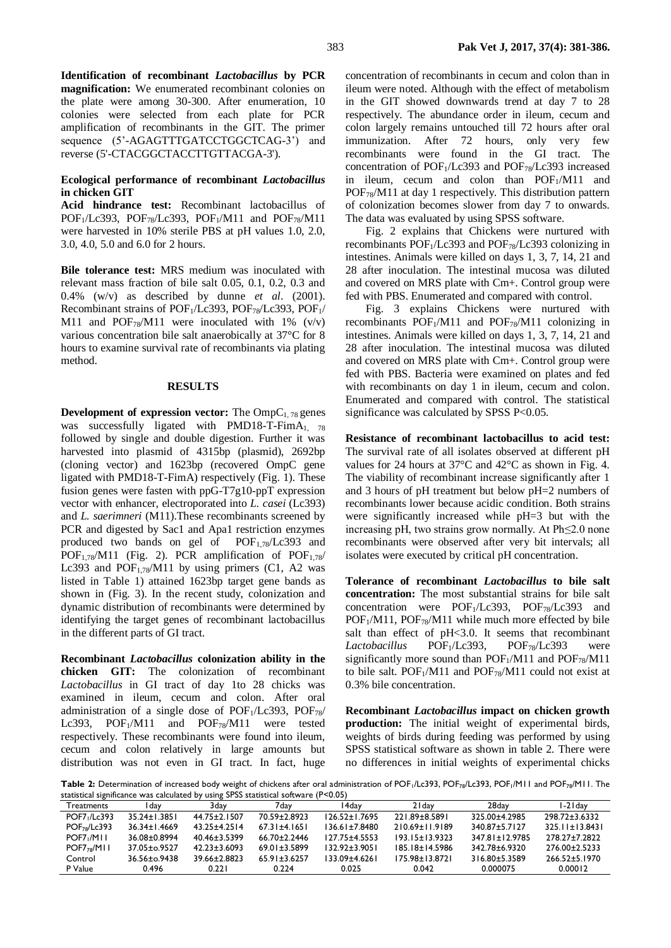**Identification of recombinant** *Lactobacillus* **by PCR magnification:** We enumerated recombinant colonies on the plate were among 30-300. After enumeration, 10 colonies were selected from each plate for PCR amplification of recombinants in the GIT. The primer sequence (5'-AGAGTTTGATCCTGGCTCAG-3') and reverse (5'-CTACGGCTACCTTGTTACGA-3').

# **Ecological performance of recombinant** *Lactobacillus* **in chicken GIT**

**Acid hindrance test:** Recombinant lactobacillus of POF1/Lc393, POF78/Lc393, POF1/M11 and POF78/M11 were harvested in 10% sterile PBS at pH values 1.0, 2.0, 3.0, 4.0, 5.0 and 6.0 for 2 hours.

**Bile tolerance test:** MRS medium was inoculated with relevant mass fraction of bile salt 0.05, 0.1, 0.2, 0.3 and 0.4% (w/v) as described by dunne *et al*. (2001). Recombinant strains of POF<sub>1</sub>/Lc393, POF<sub>78</sub>/Lc393, POF<sub>1</sub>/ M11 and POF $_{78}$ /M11 were inoculated with 1% (v/v) various concentration bile salt anaerobically at 37°C for 8 hours to examine survival rate of recombinants via plating method.

#### **RESULTS**

**Development of expression vector:** The  $\text{OmpC}_{1.78}$  genes was successfully ligated with PMD18-T-FimA<sub>1, 78</sub> followed by single and double digestion. Further it was harvested into plasmid of 4315bp (plasmid), 2692bp (cloning vector) and 1623bp (recovered OmpC gene ligated with PMD18-T-FimA) respectively (Fig. 1). These fusion genes were fasten with ppG-T7g10-ppT expression vector with enhancer, electroporated into *L. casei* (Lc393) and *L. saerimneri* (M11).These recombinants screened by PCR and digested by Sac1 and Apa1 restriction enzymes produced two bands on gel of POF1,78/Lc393 and  $POF<sub>1,78</sub>/M11$  (Fig. 2). PCR amplification of  $POF<sub>1,78</sub>/$ Lc393 and POF<sub>1.78</sub>/M11 by using primers (C1, A2 was listed in Table 1) attained 1623bp target gene bands as shown in (Fig. 3). In the recent study, colonization and dynamic distribution of recombinants were determined by identifying the target genes of recombinant lactobacillus in the different parts of GI tract.

**Recombinant** *Lactobacillus* **colonization ability in the chicken GIT:** The colonization of recombinant *Lactobacillus* in GI tract of day 1to 28 chicks was examined in ileum, cecum and colon. After oral administration of a single dose of  $POF<sub>1</sub>/Lc393$ ,  $POF<sub>78</sub>/$ Lc393,  $POF<sub>1</sub>/M11$  and  $POF<sub>78</sub>/M11$  were tested respectively. These recombinants were found into ileum, cecum and colon relatively in large amounts but distribution was not even in GI tract. In fact, huge concentration of recombinants in cecum and colon than in ileum were noted. Although with the effect of metabolism in the GIT showed downwards trend at day 7 to 28 respectively. The abundance order in ileum, cecum and colon largely remains untouched till 72 hours after oral immunization. After 72 hours, only very few recombinants were found in the GI tract. The concentration of POF1/Lc393 and POF78/Lc393 increased in ileum, cecum and colon than  $POF<sub>1</sub>/M11$  and POF78/M11 at day 1 respectively. This distribution pattern of colonization becomes slower from day 7 to onwards. The data was evaluated by using SPSS software.

Fig. 2 explains that Chickens were nurtured with recombinants POF<sub>1</sub>/Lc393 and POF<sub>78</sub>/Lc393 colonizing in intestines. Animals were killed on days 1, 3, 7, 14, 21 and 28 after inoculation. The intestinal mucosa was diluted and covered on MRS plate with Cm+. Control group were fed with PBS. Enumerated and compared with control.

Fig. 3 explains Chickens were nurtured with recombinants  $POF<sub>1</sub>/M11$  and  $POF<sub>78</sub>/M11$  colonizing in intestines. Animals were killed on days 1, 3, 7, 14, 21 and 28 after inoculation. The intestinal mucosa was diluted and covered on MRS plate with Cm+. Control group were fed with PBS. Bacteria were examined on plates and fed with recombinants on day 1 in ileum, cecum and colon. Enumerated and compared with control. The statistical significance was calculated by SPSS P<0.05.

**Resistance of recombinant lactobacillus to acid test:**  The survival rate of all isolates observed at different pH values for 24 hours at 37°C and 42°C as shown in Fig. 4. The viability of recombinant increase significantly after 1 and 3 hours of pH treatment but below pH=2 numbers of recombinants lower because acidic condition. Both strains were significantly increased while pH=3 but with the increasing pH, two strains grow normally. At Ph≤2.0 none recombinants were observed after very bit intervals; all isolates were executed by critical pH concentration.

**Tolerance of recombinant** *Lactobacillus* **to bile salt concentration:** The most substantial strains for bile salt concentration were POF1/Lc393, POF78/Lc393 and  $POF<sub>1</sub>/M11$ ,  $POF<sub>78</sub>/M11$  while much more effected by bile salt than effect of pH<3.0. It seems that recombinant<br>Lactobacillus POF<sub>1</sub>/Lc393, POF<sub>78</sub>/Lc393 were Lactobacillus POF<sub>1</sub>/Lc393, POF<sub>78</sub>/Lc393 were significantly more sound than  $POF<sub>1</sub>/M11$  and  $POF<sub>78</sub>/M11$ to bile salt. POF<sub>1</sub>/M11 and POF<sub>78</sub>/M11 could not exist at 0.3% bile concentration.

**Recombinant** *Lactobacillus* **impact on chicken growth production:** The initial weight of experimental birds, weights of birds during feeding was performed by using SPSS statistical software as shown in table 2. There were no differences in initial weights of experimental chicks

Table 2: Determination of increased body weight of chickens after oral administration of POF<sub>1</sub>/Lc393, POF<sub>78</sub>/Lc393, POF<sub>1</sub>/M11 and POF<sub>78</sub>/M11. The statistical significance was calculated by using SPSS statistical software (P<0.05)

| statistical significance was calculated by using 5F33 statistical software (F \0.03) |                    |                    |                    |                     |                      |                |                      |  |  |
|--------------------------------------------------------------------------------------|--------------------|--------------------|--------------------|---------------------|----------------------|----------------|----------------------|--|--|
| <b>Treatments</b>                                                                    | i dav              | 3dav               | 7dav               | l 4dav              | 2 I dav              | 28dav          | l -2 I dav           |  |  |
| <b>POF7</b> <sub>1</sub> /Lc393                                                      | $35.24 \pm 1.3851$ | 44.75±2.1507       | 70.59±2.8923       | $126.52 \pm 1.7695$ | 221.89±8.5891        | 325.00±4.2985  | 298.72+3.6332        |  |  |
| POF <sub>78</sub> /Lc393                                                             | $36.34 \pm 1.4669$ | $43.25 \pm 4.2514$ | $67.31 \pm 4.1651$ | $136.61 \pm 7.8480$ | $210.69 \pm 11.9189$ | 340.87±5.7127  | $325.11 \pm 13.8431$ |  |  |
| POF7 <sub>1</sub> /M11                                                               | 36.08±0.8994       | 40.46+3.5399       | $66.70 \pm 2.2446$ | $127.75 + 4.5553$   | $193.15 \pm 13.9323$ | 347.81±12.9785 | 278.27±7.2822        |  |  |
| POF7 <sub>78</sub> /MII                                                              | 37.05±o.9527       | $42.23 \pm 3.6093$ | $69.01 \pm 3.5899$ | $132.92 \pm 3.9051$ | $185.18 \pm 14.5986$ | 342.78±6.9320  | 276.00±2.5233        |  |  |
| Control                                                                              | $36.56 \pm 0.9438$ | 39.66±2.8823       | $65.91 \pm 3.6257$ | 133.09+4.6261       | 175.98+13.8721       | 316.80+5.3589  | $266.52 + 5.1970$    |  |  |
| P Value                                                                              | 0.496              | 0.221              | 0.224              | 0.025               | 0.042                | 0.000075       | 0.00012              |  |  |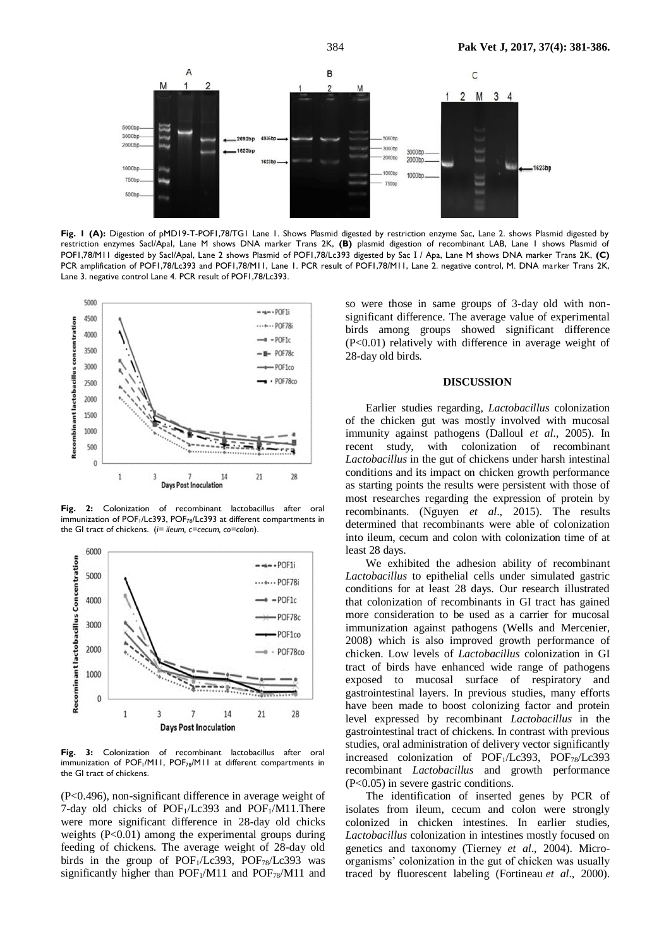

Fig. 1 (A): Digestion of pMD19-T-POF1,78/TG1 Lane 1. Shows Plasmid digested by restriction enzyme Sac, Lane 2. shows Plasmid digested by restriction enzymes SacI/ApaI, Lane M shows DNA marker Trans 2K, **(B)** plasmid digestion of recombinant LAB, Lane 1 shows Plasmid of POF1,78/M11 digested by SacI/ApaI, Lane 2 shows Plasmid of POF1,78/Lc393 digested by SacⅠ/ Apa, Lane M shows DNA marker Trans 2K, **(C)** PCR amplification of POF1,78/Lc393 and POF1,78/M11, Lane 1. PCR result of POF1,78/M11, Lane 2. negative control, M. DNA marker Trans 2K, Lane 3. negative control Lane 4. PCR result of POF1,78/Lc393.



**Fig. 2:** Colonization of recombinant lactobacillus after oral immunization of POF<sub>1</sub>/Lc393, POF<sub>78</sub>/Lc393 at different compartments in the GI tract of chickens. (*i= ileum, c=cecum, co=colon*).



Fig. 3: Colonization of recombinant lactobacillus after oral immunization of POF<sub>1</sub>/M11, POF<sub>78</sub>/M11 at different compartments in the GI tract of chickens.

(P<0.496), non-significant difference in average weight of 7-day old chicks of  $POF<sub>1</sub>/Lc393$  and  $POF<sub>1</sub>/M11$ . There were more significant difference in 28-day old chicks weights (P<0.01) among the experimental groups during feeding of chickens. The average weight of 28-day old birds in the group of POF<sub>1</sub>/Lc393, POF<sub>78</sub>/Lc393 was significantly higher than  $POF<sub>1</sub>/M11$  and  $POF<sub>78</sub>/M11$  and so were those in same groups of 3-day old with nonsignificant difference. The average value of experimental birds among groups showed significant difference (P<0.01) relatively with difference in average weight of 28-day old birds.

#### **DISCUSSION**

Earlier studies regarding, *Lactobacillus* colonization of the chicken gut was mostly involved with mucosal immunity against pathogens (Dalloul *et al*., 2005). In recent study, with colonization of recombinant *Lactobacillus* in the gut of chickens under harsh intestinal conditions and its impact on chicken growth performance as starting points the results were persistent with those of most researches regarding the expression of protein by recombinants. (Nguyen *et al*., 2015). The results determined that recombinants were able of colonization into ileum, cecum and colon with colonization time of at least 28 days.

We exhibited the adhesion ability of recombinant *Lactobacillus* to epithelial cells under simulated gastric conditions for at least 28 days. Our research illustrated that colonization of recombinants in GI tract has gained more consideration to be used as a carrier for mucosal immunization against pathogens (Wells and Mercenier, 2008) which is also improved growth performance of chicken. Low levels of *Lactobacillus* colonization in GI tract of birds have enhanced wide range of pathogens exposed to mucosal surface of respiratory and gastrointestinal layers. In previous studies, many efforts have been made to boost colonizing factor and protein level expressed by recombinant *Lactobacillus* in the gastrointestinal tract of chickens. In contrast with previous studies, oral administration of delivery vector significantly increased colonization of POF1/Lc393, POF78/Lc393 recombinant *Lactobacillus* and growth performance (P<0.05) in severe gastric conditions.

The identification of inserted genes by PCR of isolates from ileum, cecum and colon were strongly colonized in chicken intestines. In earlier studies, *Lactobacillus* colonization in intestines mostly focused on genetics and taxonomy (Tierney *et al*., 2004). Microorganisms' colonization in the gut of chicken was usually traced by fluorescent labeling (Fortineau *et al*., 2000).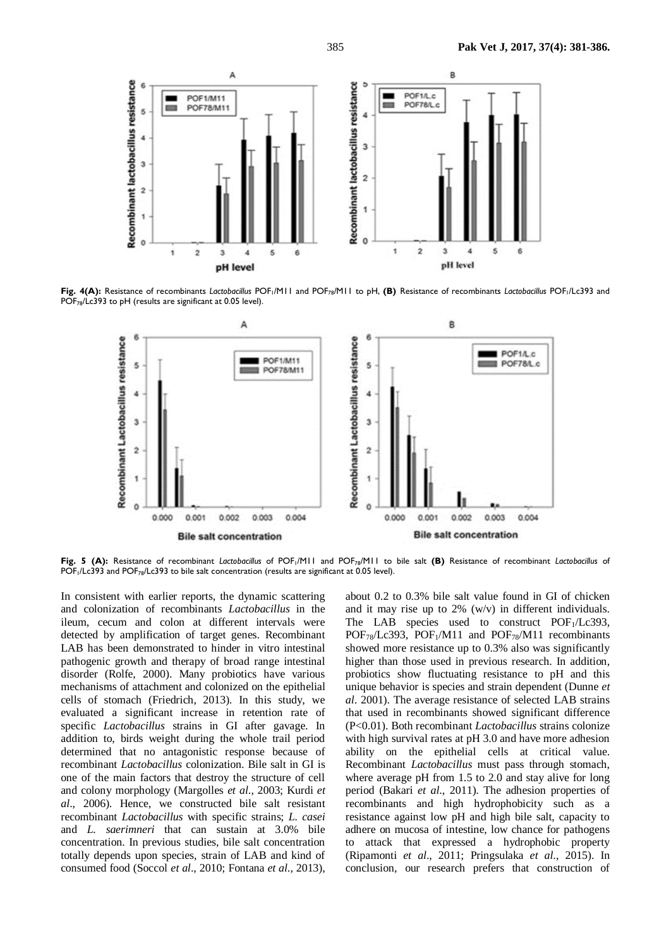

Fig. 4(A): Resistance of recombinants *Lactobacillus* POF<sub>1</sub>/M11 and POF<sub>78</sub>/M11 to pH, (B) Resistance of recombinants *Lactobacillus* POF<sub>1</sub>/Lc393 and POF<sub>78</sub>/Lc393 to pH (results are significant at 0.05 level).



**Fig. 5 (A):** Resistance of recombinant *Lactobacillus* of POF1/M11 and POF78/M11 to bile salt **(B)** Resistance of recombinant *Lactobacillus* of  $\overline{POF_1/Lc393}$  and  $\overline{POF_{78}/Lc393}$  to bile salt concentration (results are significant at 0.05 level).

In consistent with earlier reports, the dynamic scattering and colonization of recombinants *Lactobacillus* in the ileum, cecum and colon at different intervals were detected by amplification of target genes. Recombinant LAB has been demonstrated to hinder in vitro intestinal pathogenic growth and therapy of broad range intestinal disorder (Rolfe, 2000). Many probiotics have various mechanisms of attachment and colonized on the epithelial cells of stomach (Friedrich, 2013). In this study, we evaluated a significant increase in retention rate of specific *Lactobacillus* strains in GI after gavage. In addition to, birds weight during the whole trail period determined that no antagonistic response because of recombinant *Lactobacillus* colonization. Bile salt in GI is one of the main factors that destroy the structure of cell and colony morphology (Margolles *et al*., 2003; Kurdi *et al*., 2006). Hence, we constructed bile salt resistant recombinant *Lactobacillus* with specific strains; *L. casei* and *L. saerimneri* that can sustain at 3.0% bile concentration. In previous studies, bile salt concentration totally depends upon species, strain of LAB and kind of consumed food (Soccol *et al*., 2010; Fontana *et al*., 2013),

about 0.2 to 0.3% bile salt value found in GI of chicken and it may rise up to 2% (w/v) in different individuals. The LAB species used to construct  $POF<sub>1</sub>/Lc393$ ,  $POF_{78}/Lc393$ ,  $POF_1/M11$  and  $POF_{78}/M11$  recombinants showed more resistance up to 0.3% also was significantly higher than those used in previous research. In addition, probiotics show fluctuating resistance to pH and this unique behavior is species and strain dependent (Dunne *et al*. 2001). The average resistance of selected LAB strains that used in recombinants showed significant difference (P<0.01). Both recombinant *Lactobacillus* strains colonize with high survival rates at pH 3.0 and have more adhesion ability on the epithelial cells at critical value. Recombinant *Lactobacillus* must pass through stomach, where average pH from 1.5 to 2.0 and stay alive for long period (Bakari *et al*., 2011). The adhesion properties of recombinants and high hydrophobicity such as a resistance against low pH and high bile salt, capacity to adhere on mucosa of intestine, low chance for pathogens to attack that expressed a hydrophobic property (Ripamonti *et al*., 2011; Pringsulaka *et al*., 2015). In conclusion, our research prefers that construction of